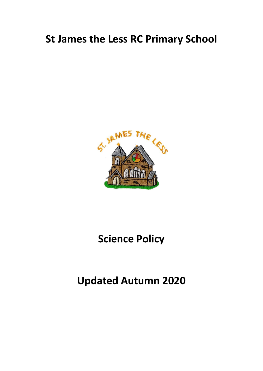# **St James the Less RC Primary School**



# **Science Policy**

# **Updated Autumn 2020**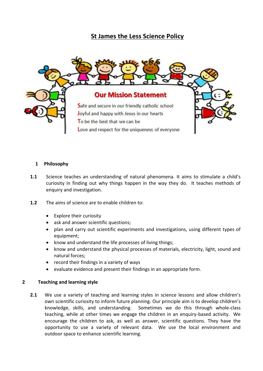# **St James the Less Science Policy**



#### **1 Philosophy**

- **1.1** Science teaches an understanding of natural phenomena. It aims to stimulate a child's curiosity in finding out why things happen in the way they do. It teaches methods of enquiry and investigation.
- **1.2** The aims of science are to enable children to:
	- Explore their curiosity
	- ask and answer scientific questions;
	- plan and carry out scientific experiments and investigations, using different types of equipment;
	- know and understand the life processes of living things;
	- know and understand the physical processes of materials, electricity, light, sound and natural forces;
	- record their findings in a variety of ways
	- evaluate evidence and present their findings in an appropriate form.

#### **2 Teaching and learning style**

**2.1** We use a variety of teaching and learning styles in science lessons and allow children's own scientific curiosity to inform future planning. Our principle aim is to develop children's knowledge, skills, and understanding. Sometimes we do this through whole-class teaching, while at other times we engage the children in an enquiry-based activity. We encourage the children to ask, as well as answer, scientific questions. They have the opportunity to use a variety of relevant data. We use the local environment and outdoor space to enhance scientific learning.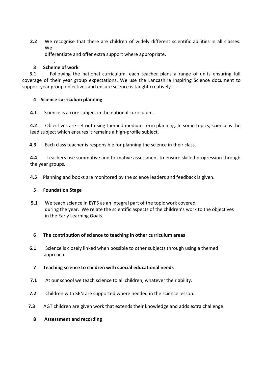**2.2** We recognise that there are children of widely different scientific abilities in all classes. We

differentiate and offer extra support where appropriate.

#### .  **3 Scheme of work**

**3.1** • Following the national curriculum, each teacher plans a range of units ensuring full coverage of their year group expectations. We use the Lancashire Inspiring Science document to support year group objectives and ensure science is taught creatively.

## **4 Science curriculum planning**

**4.1** Science is a core subject in the national curriculum.

**4.2** Objectives are set out using themed medium-term planning. In some topics, science is the lead subject which ensures it remains a high-profile subject.

**4.3** Each class teacher is responsible for planning the science in their class.

**4.4** Teachers use summative and formative assessment to ensure skilled progression through the year groups.

**4.5** Planning and books are monitored by the science leaders and feedback is given.

### **5 Foundation Stage**

 **5.1** We teach science in EYFS as an integral part of the topic work covered during the year. We relate the scientific aspects of the children's work to the objectives in the Early Learning Goals.

### **6 The contribution of science to teaching in other curriculum areas**

**6.1** Science is closely linked when possible to other subjects through using a themed approach.

### **7 Teaching science to children with special educational needs**

- **7.1** At our school we teach science to all children, whatever their ability.
- **7.2** Children with SEN are supported where needed in the science lesson.
- **7.3** AGT children are given work that extends their knowledge and adds extra challenge
	- **8 Assessment and recording**